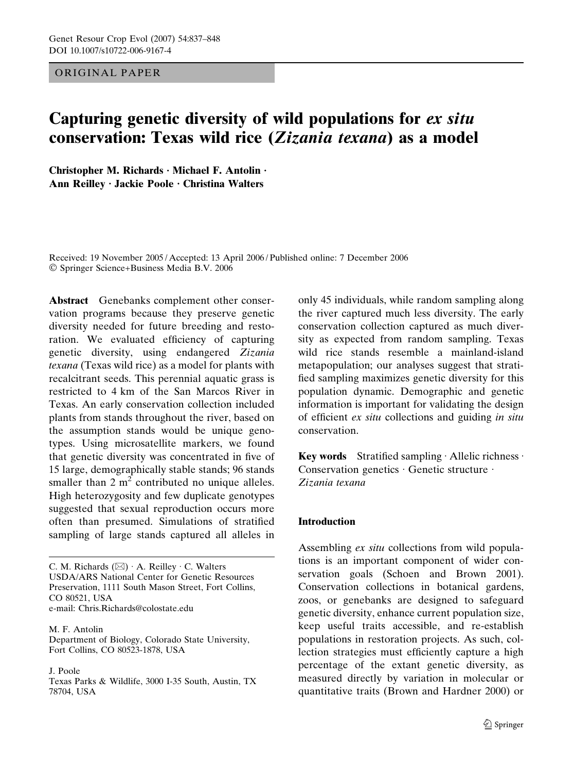# ORIGINAL PAPER

# Capturing genetic diversity of wild populations for ex situ conservation: Texas wild rice (Zizania texana) as a model

Christopher M. Richards  $\cdot$  Michael F. Antolin  $\cdot$ Ann Reilley · Jackie Poole · Christina Walters

Received: 19 November 2005 / Accepted: 13 April 2006 / Published online: 7 December 2006 Springer Science+Business Media B.V. 2006

Abstract Genebanks complement other conservation programs because they preserve genetic diversity needed for future breeding and restoration. We evaluated efficiency of capturing genetic diversity, using endangered Zizania texana (Texas wild rice) as a model for plants with recalcitrant seeds. This perennial aquatic grass is restricted to 4 km of the San Marcos River in Texas. An early conservation collection included plants from stands throughout the river, based on the assumption stands would be unique genotypes. Using microsatellite markers, we found that genetic diversity was concentrated in five of 15 large, demographically stable stands; 96 stands smaller than  $2 m<sup>2</sup>$  contributed no unique alleles. High heterozygosity and few duplicate genotypes suggested that sexual reproduction occurs more often than presumed. Simulations of stratified sampling of large stands captured all alleles in

C. M. Richards  $(\boxtimes) \cdot A$ . Reilley  $\cdot$  C. Walters USDA/ARS National Center for Genetic Resources Preservation, 1111 South Mason Street, Fort Collins, CO 80521, USA e-mail: Chris.Richards@colostate.edu

M. F. Antolin Department of Biology, Colorado State University, Fort Collins, CO 80523-1878, USA

J. Poole

Texas Parks & Wildlife, 3000 I-35 South, Austin, TX 78704, USA

only 45 individuals, while random sampling along the river captured much less diversity. The early conservation collection captured as much diversity as expected from random sampling. Texas wild rice stands resemble a mainland-island metapopulation; our analyses suggest that stratified sampling maximizes genetic diversity for this population dynamic. Demographic and genetic information is important for validating the design of efficient ex situ collections and guiding in situ conservation.

Key words Stratified sampling  $\cdot$  Allelic richness  $\cdot$ Conservation genetics Genetic structure · Zizania texana

# Introduction

Assembling ex situ collections from wild populations is an important component of wider conservation goals (Schoen and Brown 2001). Conservation collections in botanical gardens, zoos, or genebanks are designed to safeguard genetic diversity, enhance current population size, keep useful traits accessible, and re-establish populations in restoration projects. As such, collection strategies must efficiently capture a high percentage of the extant genetic diversity, as measured directly by variation in molecular or quantitative traits (Brown and Hardner 2000) or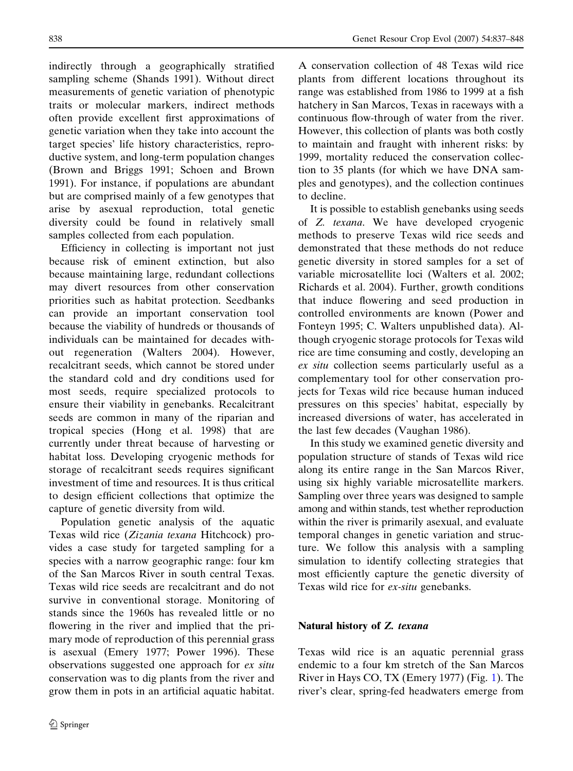indirectly through a geographically stratified sampling scheme (Shands 1991). Without direct measurements of genetic variation of phenotypic traits or molecular markers, indirect methods often provide excellent first approximations of genetic variation when they take into account the target species' life history characteristics, reproductive system, and long-term population changes (Brown and Briggs 1991; Schoen and Brown 1991). For instance, if populations are abundant but are comprised mainly of a few genotypes that arise by asexual reproduction, total genetic diversity could be found in relatively small samples collected from each population.

Efficiency in collecting is important not just because risk of eminent extinction, but also because maintaining large, redundant collections may divert resources from other conservation priorities such as habitat protection. Seedbanks can provide an important conservation tool because the viability of hundreds or thousands of individuals can be maintained for decades without regeneration (Walters 2004). However, recalcitrant seeds, which cannot be stored under the standard cold and dry conditions used for most seeds, require specialized protocols to ensure their viability in genebanks. Recalcitrant seeds are common in many of the riparian and tropical species (Hong et al. 1998) that are currently under threat because of harvesting or habitat loss. Developing cryogenic methods for storage of recalcitrant seeds requires significant investment of time and resources. It is thus critical to design efficient collections that optimize the capture of genetic diversity from wild.

Population genetic analysis of the aquatic Texas wild rice (Zizania texana Hitchcock) provides a case study for targeted sampling for a species with a narrow geographic range: four km of the San Marcos River in south central Texas. Texas wild rice seeds are recalcitrant and do not survive in conventional storage. Monitoring of stands since the 1960s has revealed little or no flowering in the river and implied that the primary mode of reproduction of this perennial grass is asexual (Emery 1977; Power 1996). These observations suggested one approach for ex situ conservation was to dig plants from the river and grow them in pots in an artificial aquatic habitat. A conservation collection of 48 Texas wild rice plants from different locations throughout its range was established from 1986 to 1999 at a fish hatchery in San Marcos, Texas in raceways with a continuous flow-through of water from the river. However, this collection of plants was both costly to maintain and fraught with inherent risks: by 1999, mortality reduced the conservation collection to 35 plants (for which we have DNA samples and genotypes), and the collection continues to decline.

It is possible to establish genebanks using seeds of Z. texana. We have developed cryogenic methods to preserve Texas wild rice seeds and demonstrated that these methods do not reduce genetic diversity in stored samples for a set of variable microsatellite loci (Walters et al. 2002; Richards et al. 2004). Further, growth conditions that induce flowering and seed production in controlled environments are known (Power and Fonteyn 1995; C. Walters unpublished data). Although cryogenic storage protocols for Texas wild rice are time consuming and costly, developing an ex situ collection seems particularly useful as a complementary tool for other conservation projects for Texas wild rice because human induced pressures on this species' habitat, especially by increased diversions of water, has accelerated in the last few decades (Vaughan 1986).

In this study we examined genetic diversity and population structure of stands of Texas wild rice along its entire range in the San Marcos River, using six highly variable microsatellite markers. Sampling over three years was designed to sample among and within stands, test whether reproduction within the river is primarily asexual, and evaluate temporal changes in genetic variation and structure. We follow this analysis with a sampling simulation to identify collecting strategies that most efficiently capture the genetic diversity of Texas wild rice for ex-situ genebanks.

# Natural history of Z. texana

Texas wild rice is an aquatic perennial grass endemic to a four km stretch of the San Marcos River in Hays CO, TX (Emery 1977) (Fig. 1). The river's clear, spring-fed headwaters emerge from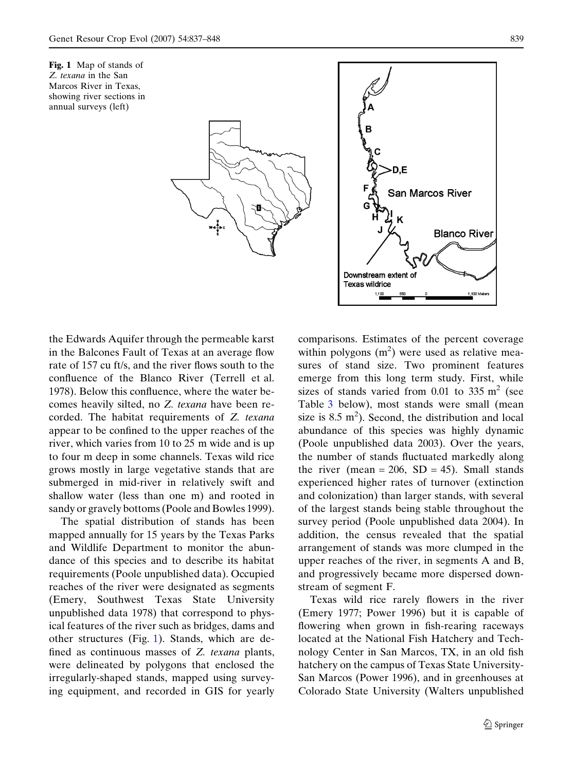



the Edwards Aquifer through the permeable karst in the Balcones Fault of Texas at an average flow rate of 157 cu ft/s, and the river flows south to the confluence of the Blanco River (Terrell et al. 1978). Below this confluence, where the water becomes heavily silted, no Z. texana have been recorded. The habitat requirements of Z. texana appear to be confined to the upper reaches of the river, which varies from 10 to 25 m wide and is up to four m deep in some channels. Texas wild rice grows mostly in large vegetative stands that are submerged in mid-river in relatively swift and shallow water (less than one m) and rooted in sandy or gravely bottoms (Poole and Bowles 1999).

The spatial distribution of stands has been mapped annually for 15 years by the Texas Parks and Wildlife Department to monitor the abundance of this species and to describe its habitat requirements (Poole unpublished data). Occupied reaches of the river were designated as segments (Emery, Southwest Texas State University unpublished data 1978) that correspond to physical features of the river such as bridges, dams and other structures (Fig. 1). Stands, which are defined as continuous masses of Z. texana plants, were delineated by polygons that enclosed the irregularly-shaped stands, mapped using surveying equipment, and recorded in GIS for yearly comparisons. Estimates of the percent coverage within polygons  $(m^2)$  were used as relative measures of stand size. Two prominent features emerge from this long term study. First, while sizes of stands varied from 0.01 to 335  $m<sup>2</sup>$  (see Table 3 below), most stands were small (mean size is  $8.5 \text{ m}^2$ ). Second, the distribution and local abundance of this species was highly dynamic (Poole unpublished data 2003). Over the years, the number of stands fluctuated markedly along the river (mean = 206,  $SD = 45$ ). Small stands experienced higher rates of turnover (extinction and colonization) than larger stands, with several of the largest stands being stable throughout the survey period (Poole unpublished data 2004). In addition, the census revealed that the spatial arrangement of stands was more clumped in the upper reaches of the river, in segments A and B, and progressively became more dispersed downstream of segment F.

Texas wild rice rarely flowers in the river (Emery 1977; Power 1996) but it is capable of flowering when grown in fish-rearing raceways located at the National Fish Hatchery and Technology Center in San Marcos, TX, in an old fish hatchery on the campus of Texas State University-San Marcos (Power 1996), and in greenhouses at Colorado State University (Walters unpublished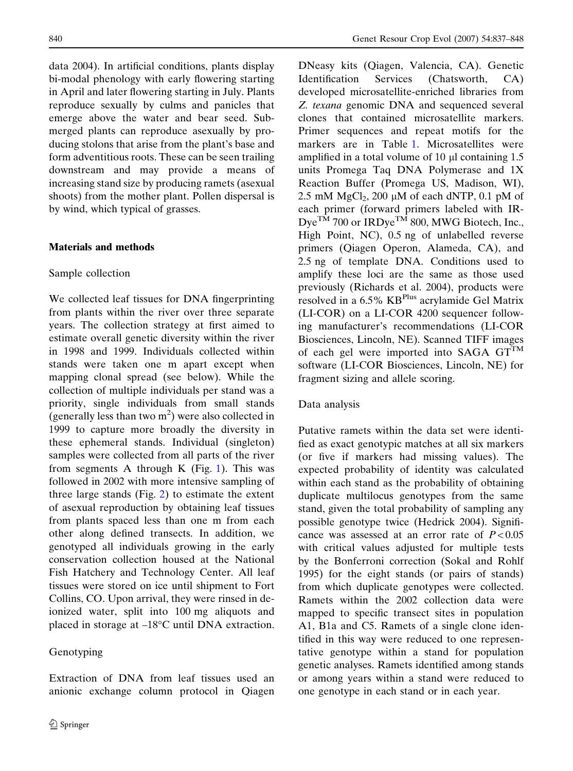data 2004). In artificial conditions, plants display bi-modal phenology with early flowering starting in April and later flowering starting in July. Plants reproduce sexually by culms and panicles that emerge above the water and bear seed. Submerged plants can reproduce asexually by producing stolons that arise from the plant's base and form adventitious roots. These can be seen trailing downstream and may provide a means of increasing stand size by producing ramets (asexual shoots) from the mother plant. Pollen dispersal is by wind, which typical of grasses.

#### Materials and methods

#### Sample collection

We collected leaf tissues for DNA fingerprinting from plants within the river over three separate years. The collection strategy at first aimed to estimate overall genetic diversity within the river in 1998 and 1999. Individuals collected within stands were taken one m apart except when mapping clonal spread (see below). While the collection of multiple individuals per stand was a priority, single individuals from small stands (generally less than two  $m<sup>2</sup>$ ) were also collected in 1999 to capture more broadly the diversity in these ephemeral stands. Individual (singleton) samples were collected from all parts of the river from segments A through K (Fig. 1). This was followed in 2002 with more intensive sampling of three large stands (Fig. 2) to estimate the extent of asexual reproduction by obtaining leaf tissues from plants spaced less than one m from each other along defined transects. In addition, we genotyped all individuals growing in the early conservation collection housed at the National Fish Hatchery and Technology Center. All leaf tissues were stored on ice until shipment to Fort Collins, CO. Upon arrival, they were rinsed in deionized water, split into 100 mg aliquots and placed in storage at  $-18^{\circ}$ C until DNA extraction.

# Genotyping

Extraction of DNA from leaf tissues used an anionic exchange column protocol in Qiagen DNeasy kits (Qiagen, Valencia, CA). Genetic Identification Services (Chatsworth, CA) developed microsatellite-enriched libraries from Z. texana genomic DNA and sequenced several clones that contained microsatellite markers. Primer sequences and repeat motifs for the markers are in Table 1. Microsatellites were amplified in a total volume of  $10 \mu l$  containing  $1.5 \mu l$ units Promega Taq DNA Polymerase and 1X Reaction Buffer (Promega US, Madison, WI), 2.5 mM  $MgCl<sub>2</sub>$ , 200 µM of each dNTP, 0.1 pM of each primer (forward primers labeled with IR- $Dye^{TM}$  700 or IRDye<sup>TM</sup> 800, MWG Biotech, Inc., High Point, NC), 0.5 ng of unlabelled reverse primers (Qiagen Operon, Alameda, CA), and 2.5 ng of template DNA. Conditions used to amplify these loci are the same as those used previously (Richards et al. 2004), products were resolved in a 6.5% KB<sup>Plus</sup> acrylamide Gel Matrix (LI-COR) on a LI-COR 4200 sequencer following manufacturer's recommendations (LI-COR Biosciences, Lincoln, NE). Scanned TIFF images of each gel were imported into SAGA  $GT^{TM}$ software (LI-COR Biosciences, Lincoln, NE) for fragment sizing and allele scoring.

## Data analysis

Putative ramets within the data set were identified as exact genotypic matches at all six markers (or five if markers had missing values). The expected probability of identity was calculated within each stand as the probability of obtaining duplicate multilocus genotypes from the same stand, given the total probability of sampling any possible genotype twice (Hedrick 2004). Significance was assessed at an error rate of  $P < 0.05$ with critical values adjusted for multiple tests by the Bonferroni correction (Sokal and Rohlf 1995) for the eight stands (or pairs of stands) from which duplicate genotypes were collected. Ramets within the 2002 collection data were mapped to specific transect sites in population A1, B1a and C5. Ramets of a single clone identified in this way were reduced to one representative genotype within a stand for population genetic analyses. Ramets identified among stands or among years within a stand were reduced to one genotype in each stand or in each year.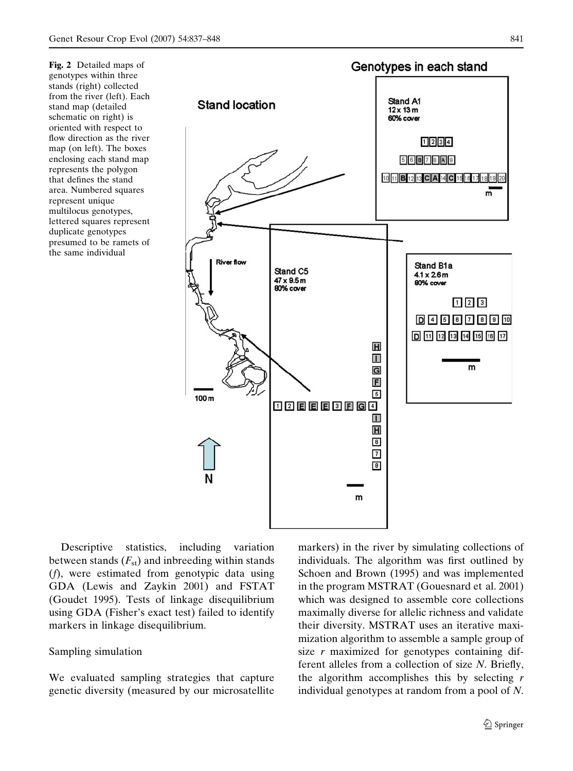Fig. 2 Detailed maps of genotypes within three stands (right) collected from the river (left). Each stand map (detailed schematic on right) is oriented with respect to flow direction as the river map (on left). The boxes enclosing each stand map represents the polygon that defines the stand area. Numbered squares represent unique multilocus genotypes, lettered squares represent duplicate genotypes presumed to be ramets of the same individual



Descriptive statistics, including variation between stands  $(F_{st})$  and inbreeding within stands (f), were estimated from genotypic data using GDA (Lewis and Zaykin 2001) and FSTAT (Goudet 1995). Tests of linkage disequilibrium using GDA (Fisher's exact test) failed to identify markers in linkage disequilibrium.

#### Sampling simulation

We evaluated sampling strategies that capture genetic diversity (measured by our microsatellite markers) in the river by simulating collections of individuals. The algorithm was first outlined by Schoen and Brown (1995) and was implemented in the program MSTRAT (Gouesnard et al. 2001) which was designed to assemble core collections maximally diverse for allelic richness and validate their diversity. MSTRAT uses an iterative maximization algorithm to assemble a sample group of size  $r$  maximized for genotypes containing different alleles from a collection of size N. Briefly, the algorithm accomplishes this by selecting  $r$ individual genotypes at random from a pool of N.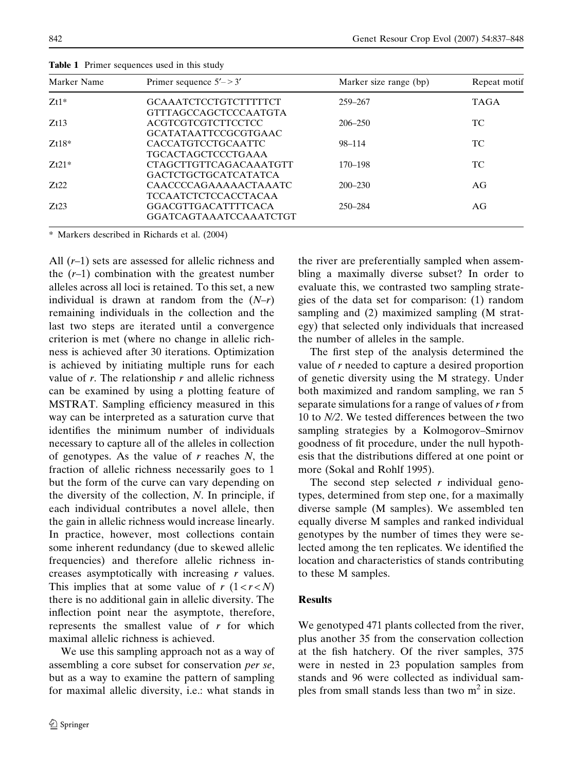| Marker Name | Primer sequence $5'$ - > 3'                                  | Marker size range (bp) | Repeat motif |
|-------------|--------------------------------------------------------------|------------------------|--------------|
| $Zt1*$      | <b>GCAAATCTCCTGTCTTTTTCT</b><br><b>GTTTAGCCAGCTCCCAATGTA</b> | 259-267                | <b>TAGA</b>  |
| Zt13        | <b>ACGTCGTCGTCTTCCTCC</b><br><b>GCATATAATTCCGCGTGAAC</b>     | $206 - 250$            | TC           |
| $Zt18*$     | CACCATGTCCTGCAATTC<br><b>TGCACTAGCTCCCTGAAA</b>              | 98-114                 | TC           |
| $Zt21*$     | <b>CTAGCTTGTTCAGACAAATGTT</b><br><b>GACTCTGCTGCATCATATCA</b> | $170 - 198$            | TC           |
| Zt22        | CAACCCCAGAAAAACTAAATC<br><b>TCCAATCTCTCCACCTACAA</b>         | $200 - 230$            | AG           |
| Zt23        | <b>GGACGTTGACATTTTCACA</b><br>GGATCAGTAAATCCAAATCTGT         | 250-284                | AG           |

Table 1 Primer sequences used in this study

Markers described in Richards et al. (2004)

All  $(r-1)$  sets are assessed for allelic richness and the  $(r-1)$  combination with the greatest number alleles across all loci is retained. To this set, a new individual is drawn at random from the  $(N-r)$ remaining individuals in the collection and the last two steps are iterated until a convergence criterion is met (where no change in allelic richness is achieved after 30 iterations. Optimization is achieved by initiating multiple runs for each value of  $r$ . The relationship  $r$  and allelic richness can be examined by using a plotting feature of MSTRAT. Sampling efficiency measured in this way can be interpreted as a saturation curve that identifies the minimum number of individuals necessary to capture all of the alleles in collection of genotypes. As the value of  $r$  reaches  $N$ , the fraction of allelic richness necessarily goes to 1 but the form of the curve can vary depending on the diversity of the collection,  $N$ . In principle, if each individual contributes a novel allele, then the gain in allelic richness would increase linearly. In practice, however, most collections contain some inherent redundancy (due to skewed allelic frequencies) and therefore allelic richness increases asymptotically with increasing r values. This implies that at some value of  $r(1 < r < N)$ there is no additional gain in allelic diversity. The inflection point near the asymptote, therefore, represents the smallest value of  $r$  for which maximal allelic richness is achieved.

We use this sampling approach not as a way of assembling a core subset for conservation per se, but as a way to examine the pattern of sampling for maximal allelic diversity, i.e.: what stands in the river are preferentially sampled when assembling a maximally diverse subset? In order to evaluate this, we contrasted two sampling strategies of the data set for comparison: (1) random sampling and (2) maximized sampling (M strategy) that selected only individuals that increased the number of alleles in the sample.

The first step of the analysis determined the value of r needed to capture a desired proportion of genetic diversity using the M strategy. Under both maximized and random sampling, we ran 5 separate simulations for a range of values of r from 10 to N/2. We tested differences between the two sampling strategies by a Kolmogorov–Smirnov goodness of fit procedure, under the null hypothesis that the distributions differed at one point or more (Sokal and Rohlf 1995).

The second step selected  $r$  individual genotypes, determined from step one, for a maximally diverse sample (M samples). We assembled ten equally diverse M samples and ranked individual genotypes by the number of times they were selected among the ten replicates. We identified the location and characteristics of stands contributing to these M samples.

## Results

We genotyped 471 plants collected from the river, plus another 35 from the conservation collection at the fish hatchery. Of the river samples, 375 were in nested in 23 population samples from stands and 96 were collected as individual samples from small stands less than two  $m<sup>2</sup>$  in size.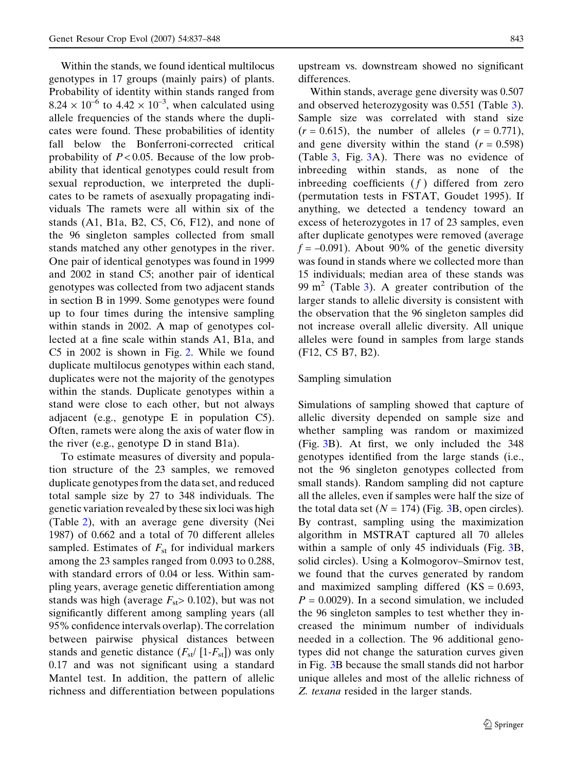Within the stands, we found identical multilocus genotypes in 17 groups (mainly pairs) of plants. Probability of identity within stands ranged from  $8.24 \times 10^{-6}$  to  $4.42 \times 10^{-3}$ , when calculated using allele frequencies of the stands where the duplicates were found. These probabilities of identity fall below the Bonferroni-corrected critical probability of  $P < 0.05$ . Because of the low probability that identical genotypes could result from sexual reproduction, we interpreted the duplicates to be ramets of asexually propagating individuals The ramets were all within six of the stands  $(A1, B1a, B2, C5, C6, F12)$ , and none of the 96 singleton samples collected from small stands matched any other genotypes in the river. One pair of identical genotypes was found in 1999 and 2002 in stand C5; another pair of identical genotypes was collected from two adjacent stands in section B in 1999. Some genotypes were found up to four times during the intensive sampling within stands in 2002. A map of genotypes collected at a fine scale within stands A1, B1a, and C5 in 2002 is shown in Fig. 2. While we found duplicate multilocus genotypes within each stand, duplicates were not the majority of the genotypes within the stands. Duplicate genotypes within a stand were close to each other, but not always adjacent (e.g., genotype E in population C5). Often, ramets were along the axis of water flow in the river (e.g., genotype D in stand B1a).

To estimate measures of diversity and population structure of the 23 samples, we removed duplicate genotypes from the data set, and reduced total sample size by 27 to 348 individuals. The genetic variation revealed by these six loci was high (Table 2), with an average gene diversity (Nei 1987) of 0.662 and a total of 70 different alleles sampled. Estimates of  $F_{st}$  for individual markers among the 23 samples ranged from 0.093 to 0.288, with standard errors of 0.04 or less. Within sampling years, average genetic differentiation among stands was high (average  $F_{st}$  > 0.102), but was not significantly different among sampling years (all 95% confidence intervals overlap). The correlation between pairwise physical distances between stands and genetic distance  $(F_{st}/[1-F_{st}])$  was only 0.17 and was not significant using a standard Mantel test. In addition, the pattern of allelic richness and differentiation between populations upstream vs. downstream showed no significant differences.

Within stands, average gene diversity was 0.507 and observed heterozygosity was 0.551 (Table 3). Sample size was correlated with stand size  $(r = 0.615)$ , the number of alleles  $(r = 0.771)$ , and gene diversity within the stand  $(r = 0.598)$ (Table 3, Fig. 3A). There was no evidence of inbreeding within stands, as none of the inbreeding coefficients  $(f)$  differed from zero (permutation tests in FSTAT, Goudet 1995). If anything, we detected a tendency toward an excess of heterozygotes in 17 of 23 samples, even after duplicate genotypes were removed (average  $f = -0.091$ ). About 90% of the genetic diversity was found in stands where we collected more than 15 individuals; median area of these stands was 99 m<sup>2</sup> (Table 3). A greater contribution of the larger stands to allelic diversity is consistent with the observation that the 96 singleton samples did not increase overall allelic diversity. All unique alleles were found in samples from large stands (F12, C5 B7, B2).

#### Sampling simulation

Simulations of sampling showed that capture of allelic diversity depended on sample size and whether sampling was random or maximized (Fig. 3B). At first, we only included the 348 genotypes identified from the large stands (i.e., not the 96 singleton genotypes collected from small stands). Random sampling did not capture all the alleles, even if samples were half the size of the total data set  $(N = 174)$  (Fig. 3B, open circles). By contrast, sampling using the maximization algorithm in MSTRAT captured all 70 alleles within a sample of only 45 individuals (Fig. 3B, solid circles). Using a Kolmogorov–Smirnov test, we found that the curves generated by random and maximized sampling differed  $(KS = 0.693)$ ,  $P = 0.0029$ . In a second simulation, we included the 96 singleton samples to test whether they increased the minimum number of individuals needed in a collection. The 96 additional genotypes did not change the saturation curves given in Fig. 3B because the small stands did not harbor unique alleles and most of the allelic richness of Z. texana resided in the larger stands.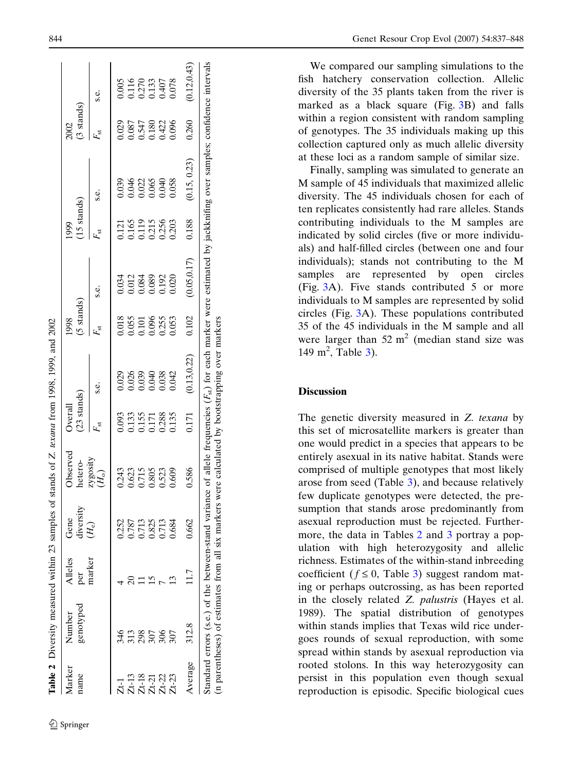|                                  | Table 2 Diversity measured within 23 samples of stands of Z. texana from 1998, 1999, and 2002 |                |                   |                                                                          |                                                        |                                         |                                            |                         |                                           |                                                                                                                            |                                           |                                           |
|----------------------------------|-----------------------------------------------------------------------------------------------|----------------|-------------------|--------------------------------------------------------------------------|--------------------------------------------------------|-----------------------------------------|--------------------------------------------|-------------------------|-------------------------------------------|----------------------------------------------------------------------------------------------------------------------------|-------------------------------------------|-------------------------------------------|
| Marker<br>name                   | genotyped<br>Number                                                                           | Alleles<br>per | diversity<br>Gene | Observed<br>hetero-                                                      | (23 stands)<br>Overall                                 |                                         | $(5$ stands)<br>1998                       |                         | $(15 \text{ stands})$<br>1999             |                                                                                                                            | $(3 \text{ stands})$<br>2002              |                                           |
|                                  |                                                                                               | marker         | $(H_{e})$         | zygosity $\begin{array}{c} \text{(H_0)}\\ \text{(H_1)} \end{array}$      | $F_{\rm st}$                                           | s.e.                                    | $F_{\rm st}$                               | s.e.                    | F <sub>st</sub>                           | s.e.                                                                                                                       | $F_{\rm st}$                              | s.e.                                      |
| $\vec{\Delta}$                   | 346                                                                                           |                | 0.252             |                                                                          | 0.93                                                   |                                         |                                            | 0.034                   |                                           |                                                                                                                            | 0.029                                     |                                           |
|                                  | 313                                                                                           |                | 1.787             | $\begin{array}{c} 0.243 \\ 0.623 \\ 0.715 \\ 0.805 \\ 0.523 \end{array}$ |                                                        | 029<br>0.026<br>0.040<br>0.038<br>0.042 | 0.018<br>0.055<br>0.000<br>0.0255<br>0.053 |                         | 0.121<br>0.165<br>0.119<br>0.256<br>0.256 | 0.039<br>0.046<br>0.055<br>0.040                                                                                           |                                           | 0.005<br>0.116<br>0.270<br>0.407<br>0.078 |
| Zt-13<br>Zt-21<br>Zt-21<br>Zt-23 | 298                                                                                           |                | 0.713             |                                                                          | $\begin{array}{c} 0.133 \\ 0.155 \\ 0.171 \end{array}$ |                                         |                                            | 0.012<br>0.084<br>0.089 |                                           |                                                                                                                            | 0.087<br>0.547<br>0.180<br>0.422<br>0.096 |                                           |
|                                  | 307                                                                                           |                | 0.825             |                                                                          |                                                        |                                         |                                            |                         |                                           |                                                                                                                            |                                           |                                           |
|                                  |                                                                                               |                | 0.713             |                                                                          |                                                        |                                         |                                            | 0.192                   |                                           |                                                                                                                            |                                           |                                           |
|                                  |                                                                                               |                | 0.684             | 0.609                                                                    | 0.288                                                  |                                         |                                            | 0.020                   | 0.203                                     | 0.058                                                                                                                      |                                           |                                           |
| Average                          | 312.8                                                                                         |                | 0.662             | 0.586                                                                    | 0.171                                                  | (0.13, 0.22)                            | 0.102                                      | (0.05, 0.17)            | 0.188                                     | (0.15, 0.23)                                                                                                               | 0.260                                     | 0.12, 0.43                                |
|                                  | Standard errors (s.e.) of the between-stand                                                   |                |                   |                                                                          |                                                        |                                         |                                            |                         |                                           | variance of allele frequencies $(F_{st})$ for each marker were estimated by jackknifing over samples; confidence intervals |                                           |                                           |

(n parentheses) of estimates from all six markers were calculated by bootstrapping over markers

(n parentheses) of estimates from all six markers were calculated by bootstrapping over markers

We compared our sampling simulations to the fish hatchery conservation collection. Allelic diversity of the 35 plants taken from the river is marked as a black square (Fig. 3B) and falls within a region consistent with random sampling of genotypes. The 35 individuals making up this collection captured only as much allelic diversity at these loci as a random sample of similar size.

Finally, sampling was simulated to generate an M sample of 45 individuals that maximized allelic diversity. The 45 individuals chosen for each of ten replicates consistently had rare alleles. Stands contributing individuals to the M samples are indicated by solid circles (five or more individuals) and half-filled circles (between one and four individuals); stands not contributing to the M samples are represented by open circles (Fig. 3A). Five stands contributed 5 or more individuals to M samples are represented by solid circles (Fig. 3A). These populations contributed 35 of the 45 individuals in the M sample and all were larger than  $52 \text{ m}^2$  (median stand size was 149 m<sup>2</sup>, Table 3).

# Discussion

The genetic diversity measured in Z. texana by this set of microsatellite markers is greater than one would predict in a species that appears to be entirely asexual in its native habitat. Stands were comprised of multiple genotypes that most likely arose from seed (Table 3), and because relatively few duplicate genotypes were detected, the presumption that stands arose predominantly from asexual reproduction must be rejected. Furthermore, the data in Tables 2 and 3 portray a population with high heterozygosity and allelic richness. Estimates of the within-stand inbreeding coefficient ( $f \le 0$ , Table 3) suggest random mating or perhaps outcrossing, as has been reported in the closely related Z. palustris (Hayes et al. 1989). The spatial distribution of genotypes within stands implies that Texas wild rice undergoes rounds of sexual reproduction, with some spread within stands by asexual reproduction via rooted stolons. In this way heterozygosity can persist in this population even though sexual reproduction is episodic. Specific biological cues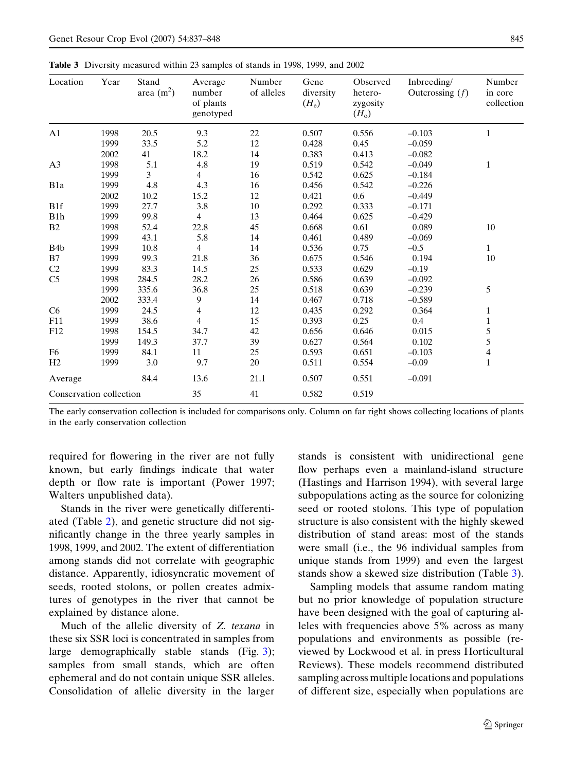Table 3 Diversity measured within 23 samples of stands in 1998, 1999, and 2002

| Location                | Year | Stand<br>area $(m^2)$ | Average<br>number<br>of plants<br>genotyped | Number<br>of alleles | Gene<br>diversity<br>$(H_e)$ | Observed<br>hetero-<br>zygosity<br>$(H_o)$ | Inbreeding/<br>Outcrossing $(f)$ | Number<br>in core<br>collection |
|-------------------------|------|-----------------------|---------------------------------------------|----------------------|------------------------------|--------------------------------------------|----------------------------------|---------------------------------|
| A <sub>1</sub>          | 1998 | 20.5                  | 9.3                                         | 22                   | 0.507                        | 0.556                                      | $-0.103$                         | $\mathbf{1}$                    |
|                         | 1999 | 33.5                  | 5.2                                         | 12                   | 0.428                        | 0.45                                       | $-0.059$                         |                                 |
|                         | 2002 | 41                    | 18.2                                        | 14                   | 0.383                        | 0.413                                      | $-0.082$                         |                                 |
| A <sub>3</sub>          | 1998 | 5.1                   | 4.8                                         | 19                   | 0.519                        | 0.542                                      | $-0.049$                         | $\mathbf{1}$                    |
|                         | 1999 | 3                     | $\overline{4}$                              | 16                   | 0.542                        | 0.625                                      | $-0.184$                         |                                 |
| B <sub>1</sub> a        | 1999 | 4.8                   | 4.3                                         | 16                   | 0.456                        | 0.542                                      | $-0.226$                         |                                 |
|                         | 2002 | 10.2                  | 15.2                                        | 12                   | 0.421                        | 0.6                                        | $-0.449$                         |                                 |
| B <sub>1f</sub>         | 1999 | 27.7                  | 3.8                                         | 10                   | 0.292                        | 0.333                                      | $-0.171$                         |                                 |
| B1h                     | 1999 | 99.8                  | $\overline{4}$                              | 13                   | 0.464                        | 0.625                                      | $-0.429$                         |                                 |
| B2                      | 1998 | 52.4                  | 22.8                                        | 45                   | 0.668                        | 0.61                                       | 0.089                            | 10                              |
|                         | 1999 | 43.1                  | 5.8                                         | 14                   | 0.461                        | 0.489                                      | $-0.069$                         |                                 |
| B <sub>4</sub> b        | 1999 | 10.8                  | $\overline{4}$                              | 14                   | 0.536                        | 0.75                                       | $-0.5$                           | $\mathbf{1}$                    |
| B7                      | 1999 | 99.3                  | 21.8                                        | 36                   | 0.675                        | 0.546                                      | 0.194                            | 10                              |
| C2                      | 1999 | 83.3                  | 14.5                                        | 25                   | 0.533                        | 0.629                                      | $-0.19$                          |                                 |
| C <sub>5</sub>          | 1998 | 284.5                 | 28.2                                        | 26                   | 0.586                        | 0.639                                      | $-0.092$                         |                                 |
|                         | 1999 | 335.6                 | 36.8                                        | 25                   | 0.518                        | 0.639                                      | $-0.239$                         | 5                               |
|                         | 2002 | 333.4                 | 9                                           | 14                   | 0.467                        | 0.718                                      | $-0.589$                         |                                 |
| C6                      | 1999 | 24.5                  | 4                                           | 12                   | 0.435                        | 0.292                                      | 0.364                            | $\mathbf{1}$                    |
| F11                     | 1999 | 38.6                  | $\overline{4}$                              | 15                   | 0.393                        | 0.25                                       | 0.4                              | $\mathbf{1}$                    |
| F12                     | 1998 | 154.5                 | 34.7                                        | 42                   | 0.656                        | 0.646                                      | 0.015                            | 5                               |
|                         | 1999 | 149.3                 | 37.7                                        | 39                   | 0.627                        | 0.564                                      | 0.102                            | 5                               |
| F <sub>6</sub>          | 1999 | 84.1                  | 11                                          | 25                   | 0.593                        | 0.651                                      | $-0.103$                         | $\overline{\mathcal{L}}$        |
| H <sub>2</sub>          | 1999 | 3.0                   | 9.7                                         | 20                   | 0.511                        | 0.554                                      | $-0.09$                          | $\mathbf{1}$                    |
| Average                 |      | 84.4                  | 13.6                                        | 21.1                 | 0.507                        | 0.551                                      | $-0.091$                         |                                 |
| Conservation collection |      |                       | 35                                          | 41                   | 0.582                        | 0.519                                      |                                  |                                 |

The early conservation collection is included for comparisons only. Column on far right shows collecting locations of plants in the early conservation collection

required for flowering in the river are not fully known, but early findings indicate that water depth or flow rate is important (Power 1997; Walters unpublished data).

Stands in the river were genetically differentiated (Table 2), and genetic structure did not significantly change in the three yearly samples in 1998, 1999, and 2002. The extent of differentiation among stands did not correlate with geographic distance. Apparently, idiosyncratic movement of seeds, rooted stolons, or pollen creates admixtures of genotypes in the river that cannot be explained by distance alone.

Much of the allelic diversity of Z. texana in these six SSR loci is concentrated in samples from large demographically stable stands (Fig. 3); samples from small stands, which are often ephemeral and do not contain unique SSR alleles. Consolidation of allelic diversity in the larger stands is consistent with unidirectional gene flow perhaps even a mainland-island structure (Hastings and Harrison 1994), with several large subpopulations acting as the source for colonizing seed or rooted stolons. This type of population structure is also consistent with the highly skewed distribution of stand areas: most of the stands were small (i.e., the 96 individual samples from unique stands from 1999) and even the largest stands show a skewed size distribution (Table 3).

Sampling models that assume random mating but no prior knowledge of population structure have been designed with the goal of capturing alleles with frequencies above 5% across as many populations and environments as possible (reviewed by Lockwood et al. in press Horticultural Reviews). These models recommend distributed sampling across multiple locations and populations of different size, especially when populations are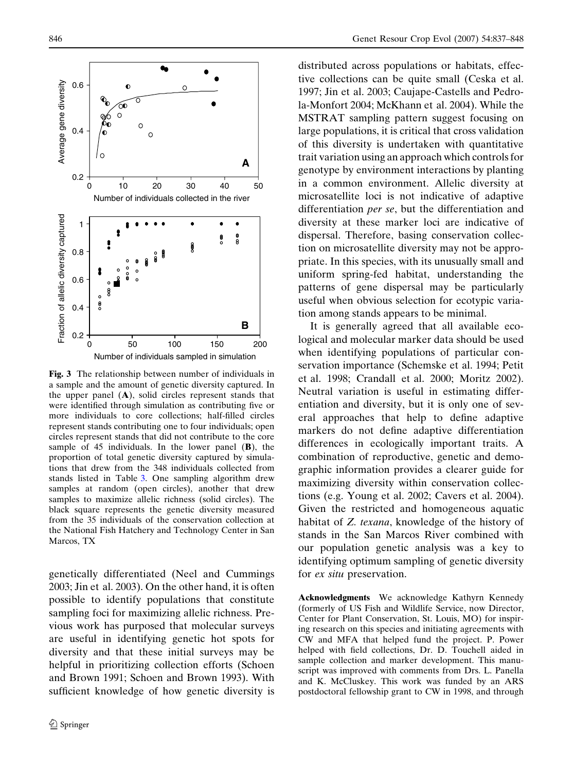

Fig. 3 The relationship between number of individuals in a sample and the amount of genetic diversity captured. In the upper panel (A), solid circles represent stands that were identified through simulation as contributing five or more individuals to core collections; half-filled circles represent stands contributing one to four individuals; open circles represent stands that did not contribute to the core sample of 45 individuals. In the lower panel  $(B)$ , the proportion of total genetic diversity captured by simulations that drew from the 348 individuals collected from stands listed in Table 3. One sampling algorithm drew samples at random (open circles), another that drew samples to maximize allelic richness (solid circles). The black square represents the genetic diversity measured from the 35 individuals of the conservation collection at the National Fish Hatchery and Technology Center in San Marcos, TX

genetically differentiated (Neel and Cummings 2003; Jin et al. 2003). On the other hand, it is often possible to identify populations that constitute sampling foci for maximizing allelic richness. Previous work has purposed that molecular surveys are useful in identifying genetic hot spots for diversity and that these initial surveys may be helpful in prioritizing collection efforts (Schoen and Brown 1991; Schoen and Brown 1993). With sufficient knowledge of how genetic diversity is

distributed across populations or habitats, effective collections can be quite small (Ceska et al. 1997; Jin et al. 2003; Caujape-Castells and Pedrola-Monfort 2004; McKhann et al. 2004). While the MSTRAT sampling pattern suggest focusing on large populations, it is critical that cross validation of this diversity is undertaken with quantitative trait variation using an approach which controls for genotype by environment interactions by planting in a common environment. Allelic diversity at microsatellite loci is not indicative of adaptive differentiation per se, but the differentiation and diversity at these marker loci are indicative of dispersal. Therefore, basing conservation collection on microsatellite diversity may not be appropriate. In this species, with its unusually small and uniform spring-fed habitat, understanding the patterns of gene dispersal may be particularly useful when obvious selection for ecotypic variation among stands appears to be minimal.

It is generally agreed that all available ecological and molecular marker data should be used when identifying populations of particular conservation importance (Schemske et al. 1994; Petit et al. 1998; Crandall et al. 2000; Moritz 2002). Neutral variation is useful in estimating differentiation and diversity, but it is only one of several approaches that help to define adaptive markers do not define adaptive differentiation differences in ecologically important traits. A combination of reproductive, genetic and demographic information provides a clearer guide for maximizing diversity within conservation collections (e.g. Young et al. 2002; Cavers et al. 2004). Given the restricted and homogeneous aquatic habitat of Z. texana, knowledge of the history of stands in the San Marcos River combined with our population genetic analysis was a key to identifying optimum sampling of genetic diversity for ex situ preservation.

Acknowledgments We acknowledge Kathyrn Kennedy (formerly of US Fish and Wildlife Service, now Director, Center for Plant Conservation, St. Louis, MO) for inspiring research on this species and initiating agreements with CW and MFA that helped fund the project. P. Power helped with field collections, Dr. D. Touchell aided in sample collection and marker development. This manuscript was improved with comments from Drs. L. Panella and K. McCluskey. This work was funded by an ARS postdoctoral fellowship grant to CW in 1998, and through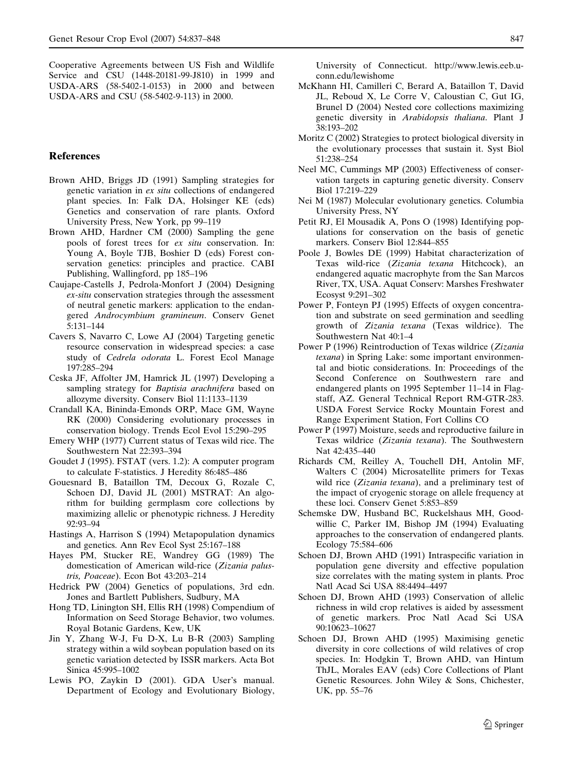Cooperative Agreements between US Fish and Wildlife Service and CSU (1448-20181-99-J810) in 1999 and USDA-ARS (58-5402-1-0153) in 2000 and between USDA-ARS and CSU (58-5402-9-113) in 2000.

### References

- Brown AHD, Briggs JD (1991) Sampling strategies for genetic variation in ex situ collections of endangered plant species. In: Falk DA, Holsinger KE (eds) Genetics and conservation of rare plants. Oxford University Press, New York, pp 99–119
- Brown AHD, Hardner CM (2000) Sampling the gene pools of forest trees for ex situ conservation. In: Young A, Boyle TJB, Boshier D (eds) Forest conservation genetics: principles and practice. CABI Publishing, Wallingford, pp 185–196
- Caujape-Castells J, Pedrola-Monfort J (2004) Designing ex-situ conservation strategies through the assessment of neutral genetic markers: application to the endangered Androcymbium gramineum. Conserv Genet 5:131–144
- Cavers S, Navarro C, Lowe AJ (2004) Targeting genetic resource conservation in widespread species: a case study of Cedrela odorata L. Forest Ecol Manage 197:285–294
- Ceska JF, Affolter JM, Hamrick JL (1997) Developing a sampling strategy for Baptisia arachnifera based on allozyme diversity. Conserv Biol 11:1133–1139
- Crandall KA, Bininda-Emonds ORP, Mace GM, Wayne RK (2000) Considering evolutionary processes in conservation biology. Trends Ecol Evol 15:290–295
- Emery WHP (1977) Current status of Texas wild rice. The Southwestern Nat 22:393–394
- Goudet J (1995). FSTAT (vers. 1.2): A computer program to calculate F-statistics. J Heredity 86:485–486
- Gouesnard B, Bataillon TM, Decoux G, Rozale C, Schoen DJ, David JL (2001) MSTRAT: An algorithm for building germplasm core collections by maximizing allelic or phenotypic richness. J Heredity 92:93–94
- Hastings A, Harrison S (1994) Metapopulation dynamics and genetics. Ann Rev Ecol Syst 25:167–188
- Hayes PM, Stucker RE, Wandrey GG (1989) The domestication of American wild-rice (Zizania palustris, Poaceae). Econ Bot 43:203–214
- Hedrick PW (2004) Genetics of populations, 3rd edn. Jones and Bartlett Publishers, Sudbury, MA
- Hong TD, Linington SH, Ellis RH (1998) Compendium of Information on Seed Storage Behavior, two volumes. Royal Botanic Gardens, Kew, UK
- Jin Y, Zhang W-J, Fu D-X, Lu B-R (2003) Sampling strategy within a wild soybean population based on its genetic variation detected by ISSR markers. Acta Bot Sinica 45:995–1002
- Lewis PO, Zaykin D (2001). GDA User's manual. Department of Ecology and Evolutionary Biology,

University of Connecticut. http://www.lewis.eeb.uconn.edu/lewishome

- McKhann HI, Camilleri C, Berard A, Bataillon T, David JL, Reboud X, Le Corre V, Caloustian C, Gut IG, Brunel D (2004) Nested core collections maximizing genetic diversity in Arabidopsis thaliana. Plant J 38:193–202
- Moritz C (2002) Strategies to protect biological diversity in the evolutionary processes that sustain it. Syst Biol 51:238–254
- Neel MC, Cummings MP (2003) Effectiveness of conservation targets in capturing genetic diversity. Conserv Biol 17:219–229
- Nei M (1987) Molecular evolutionary genetics. Columbia University Press, NY
- Petit RJ, El Mousadik A, Pons O (1998) Identifying populations for conservation on the basis of genetic markers. Conserv Biol 12:844–855
- Poole J, Bowles DE (1999) Habitat characterization of Texas wild-rice (Zizania texana Hitchcock), an endangered aquatic macrophyte from the San Marcos River, TX, USA. Aquat Conserv: Marshes Freshwater Ecosyst 9:291–302
- Power P, Fonteyn PJ (1995) Effects of oxygen concentration and substrate on seed germination and seedling growth of Zizania texana (Texas wildrice). The Southwestern Nat 40:1–4
- Power P (1996) Reintroduction of Texas wildrice (Zizania texana) in Spring Lake: some important environmental and biotic considerations. In: Proceedings of the Second Conference on Southwestern rare and endangered plants on 1995 September 11–14 in Flagstaff, AZ. General Technical Report RM-GTR-283. USDA Forest Service Rocky Mountain Forest and Range Experiment Station, Fort Collins CO
- Power P (1997) Moisture, seeds and reproductive failure in Texas wildrice (Zizania texana). The Southwestern Nat 42:435–440
- Richards CM, Reilley A, Touchell DH, Antolin MF, Walters C (2004) Microsatellite primers for Texas wild rice (Zizania texana), and a preliminary test of the impact of cryogenic storage on allele frequency at these loci. Conserv Genet 5:853–859
- Schemske DW, Husband BC, Ruckelshaus MH, Goodwillie C, Parker IM, Bishop JM (1994) Evaluating approaches to the conservation of endangered plants. Ecology 75:584–606
- Schoen DJ, Brown AHD (1991) Intraspecific variation in population gene diversity and effective population size correlates with the mating system in plants. Proc Natl Acad Sci USA 88:4494–4497
- Schoen DJ, Brown AHD (1993) Conservation of allelic richness in wild crop relatives is aided by assessment of genetic markers. Proc Natl Acad Sci USA 90:10623–10627
- Schoen DJ, Brown AHD (1995) Maximising genetic diversity in core collections of wild relatives of crop species. In: Hodgkin T, Brown AHD, van Hintum ThJL, Morales EAV (eds) Core Collections of Plant Genetic Resources. John Wiley & Sons, Chichester, UK, pp. 55–76